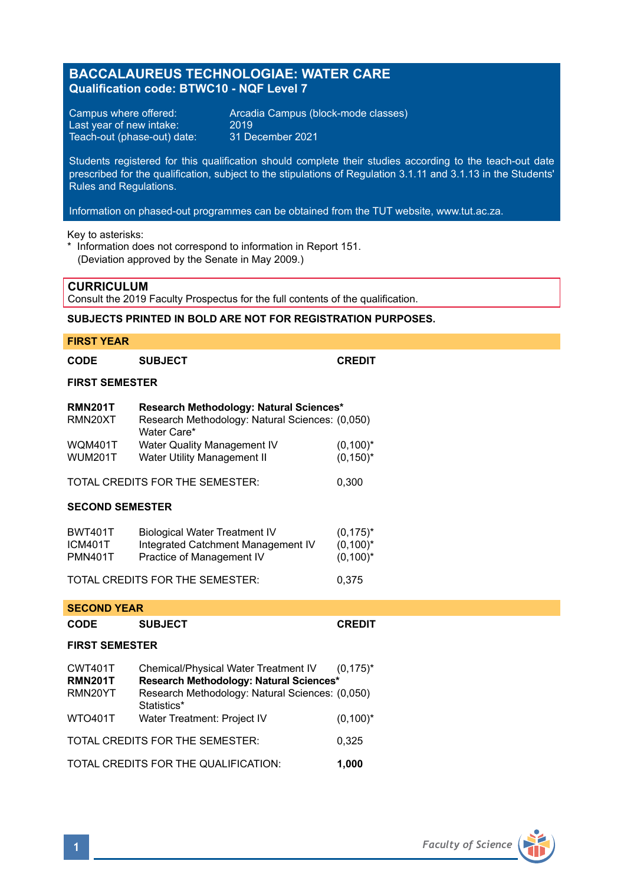# **BACCALAUREUS TECHNOLOGIAE: WATER CARE Qualification code: BTWC10 - NQF Level 7**

Last year of new intake:  $2019$ <br>Teach-out (phase-out) date: 31 December 2021 Teach-out (phase-out) date:

Campus where offered: <br>
Last year of new intake: 2019<br>
2019

Students registered for this qualification should complete their studies according to the teach-out date prescribed for the qualification, subject to the stipulations of Regulation 3.1.11 and 3.1.13 in the Students' Rules and Regulations.

Information on phased-out programmes can be obtained from the TUT website, www.tut.ac.za.

Key to asterisks:

\* Information does not correspond to information in Report 151. (Deviation approved by the Senate in May 2009.)

### **CURRICULUM**

Consult the 2019 Faculty Prospectus for the full contents of the qualification.

### **SUBJECTS PRINTED IN BOLD ARE NOT FOR REGISTRATION PURPOSES.**

#### **FIRST YEAR**

### **FIRST SEMESTER**

| <b>RMN201T</b> | Research Methodology: Natural Sciences*         |              |  |
|----------------|-------------------------------------------------|--------------|--|
| RMN20XT        | Research Methodology: Natural Sciences: (0,050) |              |  |
|                | Water Care*                                     |              |  |
| <b>WOM401T</b> | Water Quality Management IV                     | $(0,100)^*$  |  |
| <b>WUM201T</b> | Water Utility Management II                     | $(0, 150)^*$ |  |
|                | TOTAL CREDITS FOR THE SEMESTER:                 | 0.300        |  |

#### **SECOND SEMESTER**

| <b>BWT401T</b> | <b>Biological Water Treatment IV</b> | $(0, 175)^*$ |
|----------------|--------------------------------------|--------------|
| ICM401T        | Integrated Catchment Management IV   | $(0,100)^*$  |
| PMN401T        | Practice of Management IV            | $(0,100)^*$  |
|                |                                      |              |

TOTAL CREDITS FOR THE SEMESTER: 0,375

#### **SECOND YEAR**

| CODE                                          | <b>SUBJECT</b>                                                                  | <b>CREDIT</b> |  |  |
|-----------------------------------------------|---------------------------------------------------------------------------------|---------------|--|--|
| <b>FIRST SEMESTER</b>                         |                                                                                 |               |  |  |
| CWT401T<br><b>RMN201T</b>                     | Chemical/Physical Water Treatment IV<br>Research Methodology: Natural Sciences* | $(0.175)^*$   |  |  |
| RMN20YT                                       | Research Methodology: Natural Sciences: (0,050)<br>Statistics*                  |               |  |  |
| WTO401T                                       | Water Treatment: Project IV                                                     | $(0,100)^*$   |  |  |
| TOTAL CREDITS FOR THE SEMESTER:<br>0,325      |                                                                                 |               |  |  |
| TOTAL CREDITS FOR THE QUALIFICATION:<br>1.000 |                                                                                 |               |  |  |

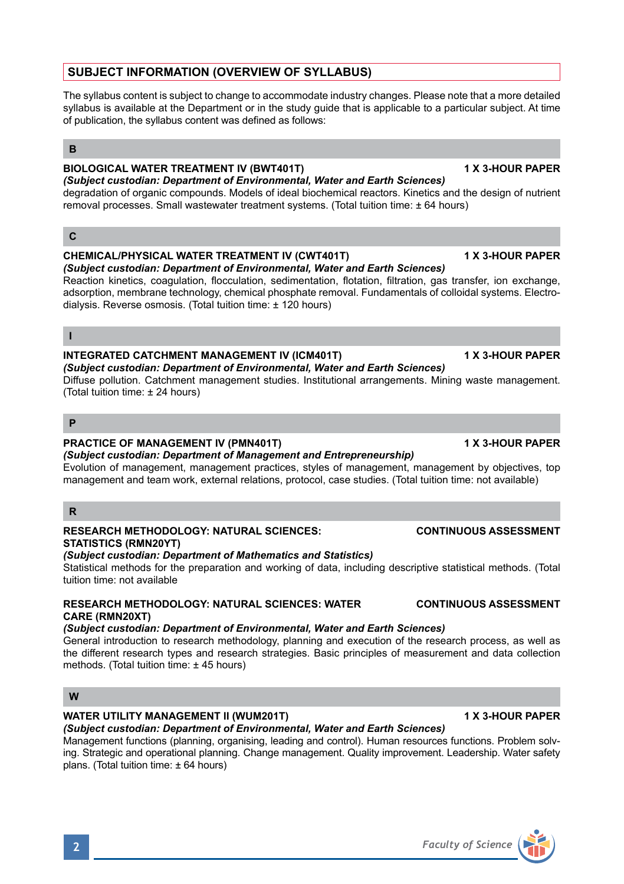**2** *Faculty of Science*

# *(Subject custodian: Department of Environmental, Water and Earth Sciences)*

Diffuse pollution. Catchment management studies. Institutional arrangements. Mining waste management. (Total tuition time: ± 24 hours)

### **P**

# **PRACTICE OF MANAGEMENT IV (PMN401T) 1 X 3-HOUR PAPER**

*(Subject custodian: Department of Management and Entrepreneurship)* Evolution of management, management practices, styles of management, management by objectives, top management and team work, external relations, protocol, case studies. (Total tuition time: not available)

# **R**

### **RESEARCH METHODOLOGY: NATURAL SCIENCES: CONTINUOUS ASSESSMENT STATISTICS (RMN20YT)**

# *(Subject custodian: Department of Mathematics and Statistics)*

Statistical methods for the preparation and working of data, including descriptive statistical methods. (Total tuition time: not available

### **RESEARCH METHODOLOGY: NATURAL SCIENCES: WATER CONTINUOUS ASSESSMENT CARE (RMN20XT)**

# *(Subject custodian: Department of Environmental, Water and Earth Sciences)*

General introduction to research methodology, planning and execution of the research process, as well as the different research types and research strategies. Basic principles of measurement and data collection methods. (Total tuition time: ± 45 hours)

### **W**

# **WATER UTILITY MANAGEMENT II (WUM201T) 1 X 3-HOUR PAPER**

# *(Subject custodian: Department of Environmental, Water and Earth Sciences)*

Management functions (planning, organising, leading and control). Human resources functions. Problem solving. Strategic and operational planning. Change management. Quality improvement. Leadership. Water safety plans. (Total tuition time: ± 64 hours)

# **SUBJECT INFORMATION (OVERVIEW OF SYLLABUS)**

The syllabus content is subject to change to accommodate industry changes. Please note that a more detailed syllabus is available at the Department or in the study guide that is applicable to a particular subject. At time of publication, the syllabus content was defined as follows:

# **B**

# **BIOLOGICAL WATER TREATMENT IV (BWT401T) 1 X 3-HOUR PAPER**

*(Subject custodian: Department of Environmental, Water and Earth Sciences)* degradation of organic compounds. Models of ideal biochemical reactors. Kinetics and the design of nutrient removal processes. Small wastewater treatment systems. (Total tuition time: ± 64 hours)

# **C**

#### **CHEMICAL/PHYSICAL WATER TREATMENT IV (CWT401T) 1 X 3-HOUR PAPER** *(Subject custodian: Department of Environmental, Water and Earth Sciences)*

adsorption, membrane technology, chemical phosphate removal. Fundamentals of colloidal systems. Electrodialysis. Reverse osmosis. (Total tuition time: ± 120 hours)

Reaction kinetics, coagulation, flocculation, sedimentation, flotation, filtration, gas transfer, ion exchange,

# **I**

# **INTEGRATED CATCHMENT MANAGEMENT IV (ICM401T) 1 X 3-HOUR PAPER**